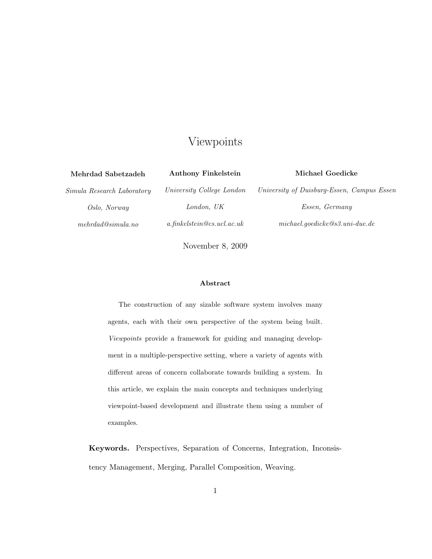# Viewpoints

| <b>Anthony Finkelstein</b>    | Michael Goedicke                                            |  |  |
|-------------------------------|-------------------------------------------------------------|--|--|
| University College London     | University of Duisburg-Essen, Campus Essen                  |  |  |
| London, UK                    | Essen, Germany                                              |  |  |
| $a$ .finkelstein@cs.ucl.ac.uk | $\emph{michael.}\emph{gedicke@s3.}\emph{uni-due.}\emph{de}$ |  |  |
|                               |                                                             |  |  |

November 8, 2009

### Abstract

The construction of any sizable software system involves many agents, each with their own perspective of the system being built. *Viewpoints* provide a framework for guiding and managing development in a multiple-perspective setting, where a variety of agents with different areas of concern collaborate towards building a system. In this article, we explain the main concepts and techniques underlying viewpoint-based development and illustrate them using a number of examples.

Keywords. Perspectives, Separation of Concerns, Integration, Inconsistency Management, Merging, Parallel Composition, Weaving.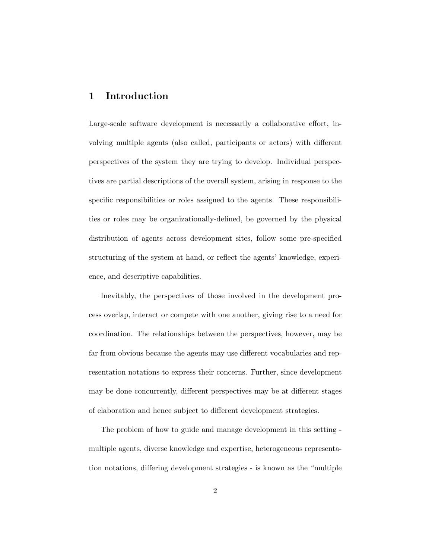# 1 Introduction

Large-scale software development is necessarily a collaborative effort, involving multiple agents (also called, participants or actors) with different perspectives of the system they are trying to develop. Individual perspectives are partial descriptions of the overall system, arising in response to the specific responsibilities or roles assigned to the agents. These responsibilities or roles may be organizationally-defined, be governed by the physical distribution of agents across development sites, follow some pre-specified structuring of the system at hand, or reflect the agents' knowledge, experience, and descriptive capabilities.

Inevitably, the perspectives of those involved in the development process overlap, interact or compete with one another, giving rise to a need for coordination. The relationships between the perspectives, however, may be far from obvious because the agents may use different vocabularies and representation notations to express their concerns. Further, since development may be done concurrently, different perspectives may be at different stages of elaboration and hence subject to different development strategies.

The problem of how to guide and manage development in this setting multiple agents, diverse knowledge and expertise, heterogeneous representation notations, differing development strategies - is known as the "multiple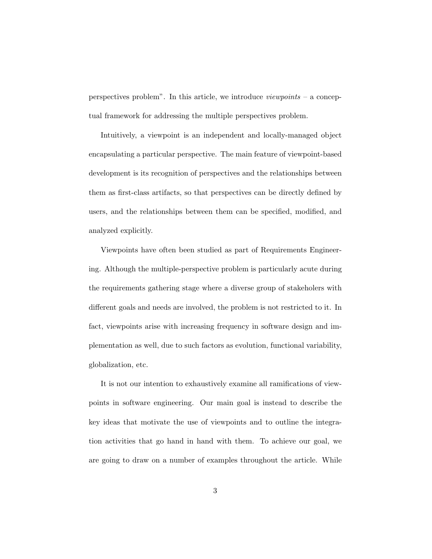perspectives problem". In this article, we introduce *viewpoints* – a conceptual framework for addressing the multiple perspectives problem.

Intuitively, a viewpoint is an independent and locally-managed object encapsulating a particular perspective. The main feature of viewpoint-based development is its recognition of perspectives and the relationships between them as first-class artifacts, so that perspectives can be directly defined by users, and the relationships between them can be specified, modified, and analyzed explicitly.

Viewpoints have often been studied as part of Requirements Engineering. Although the multiple-perspective problem is particularly acute during the requirements gathering stage where a diverse group of stakeholers with different goals and needs are involved, the problem is not restricted to it. In fact, viewpoints arise with increasing frequency in software design and implementation as well, due to such factors as evolution, functional variability, globalization, etc.

It is not our intention to exhaustively examine all ramifications of viewpoints in software engineering. Our main goal is instead to describe the key ideas that motivate the use of viewpoints and to outline the integration activities that go hand in hand with them. To achieve our goal, we are going to draw on a number of examples throughout the article. While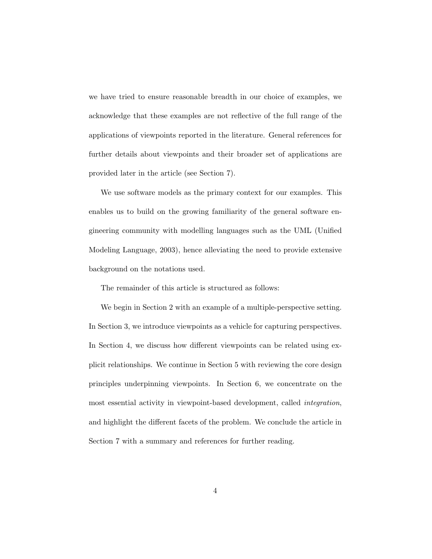we have tried to ensure reasonable breadth in our choice of examples, we acknowledge that these examples are not reflective of the full range of the applications of viewpoints reported in the literature. General references for further details about viewpoints and their broader set of applications are provided later in the article (see Section 7).

We use software models as the primary context for our examples. This enables us to build on the growing familiarity of the general software engineering community with modelling languages such as the UML (Unified Modeling Language, 2003), hence alleviating the need to provide extensive background on the notations used.

The remainder of this article is structured as follows:

We begin in Section 2 with an example of a multiple-perspective setting. In Section 3, we introduce viewpoints as a vehicle for capturing perspectives. In Section 4, we discuss how different viewpoints can be related using explicit relationships. We continue in Section 5 with reviewing the core design principles underpinning viewpoints. In Section 6, we concentrate on the most essential activity in viewpoint-based development, called *integration*, and highlight the different facets of the problem. We conclude the article in Section 7 with a summary and references for further reading.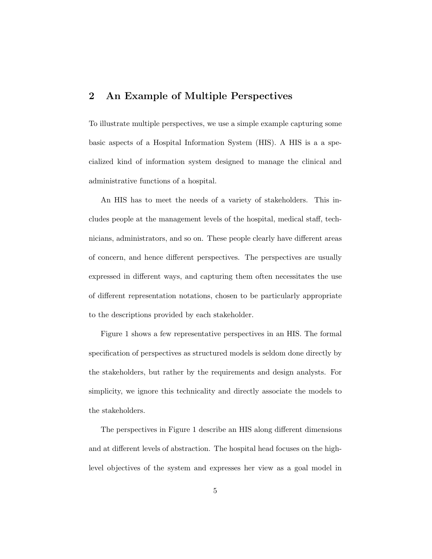## 2 An Example of Multiple Perspectives

To illustrate multiple perspectives, we use a simple example capturing some basic aspects of a Hospital Information System (HIS). A HIS is a a specialized kind of information system designed to manage the clinical and administrative functions of a hospital.

An HIS has to meet the needs of a variety of stakeholders. This includes people at the management levels of the hospital, medical staff, technicians, administrators, and so on. These people clearly have different areas of concern, and hence different perspectives. The perspectives are usually expressed in different ways, and capturing them often necessitates the use of different representation notations, chosen to be particularly appropriate to the descriptions provided by each stakeholder.

Figure 1 shows a few representative perspectives in an HIS. The formal specification of perspectives as structured models is seldom done directly by the stakeholders, but rather by the requirements and design analysts. For simplicity, we ignore this technicality and directly associate the models to the stakeholders.

The perspectives in Figure 1 describe an HIS along different dimensions and at different levels of abstraction. The hospital head focuses on the highlevel objectives of the system and expresses her view as a goal model in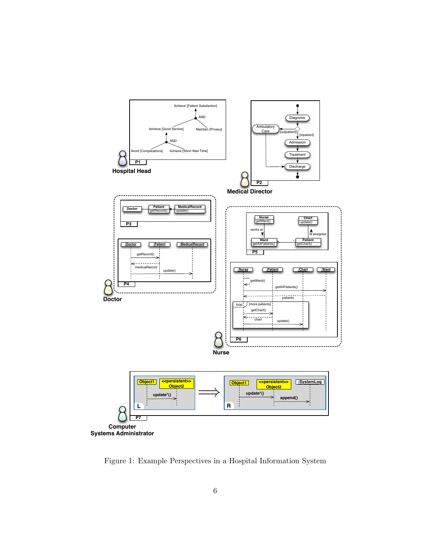

Figure 1: Example Perspectives in a Hospital Information System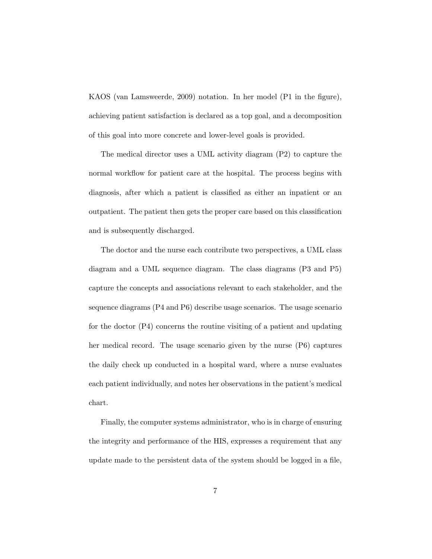KAOS (van Lamsweerde, 2009) notation. In her model (P1 in the figure), achieving patient satisfaction is declared as a top goal, and a decomposition of this goal into more concrete and lower-level goals is provided.

The medical director uses a UML activity diagram (P2) to capture the normal workflow for patient care at the hospital. The process begins with diagnosis, after which a patient is classified as either an inpatient or an outpatient. The patient then gets the proper care based on this classification and is subsequently discharged.

The doctor and the nurse each contribute two perspectives, a UML class diagram and a UML sequence diagram. The class diagrams (P3 and P5) capture the concepts and associations relevant to each stakeholder, and the sequence diagrams (P4 and P6) describe usage scenarios. The usage scenario for the doctor (P4) concerns the routine visiting of a patient and updating her medical record. The usage scenario given by the nurse (P6) captures the daily check up conducted in a hospital ward, where a nurse evaluates each patient individually, and notes her observations in the patient's medical chart.

Finally, the computer systems administrator, who is in charge of ensuring the integrity and performance of the HIS, expresses a requirement that any update made to the persistent data of the system should be logged in a file,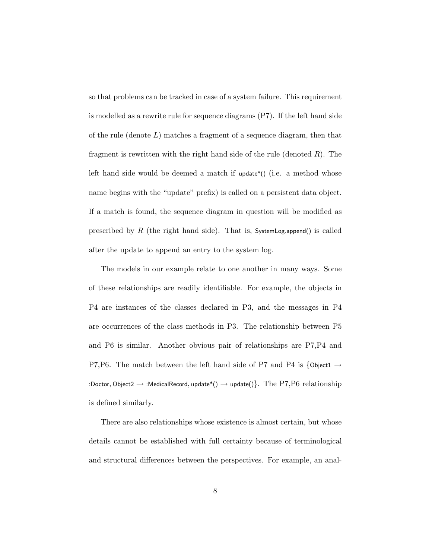so that problems can be tracked in case of a system failure. This requirement is modelled as a rewrite rule for sequence diagrams (P7). If the left hand side of the rule (denote  $L$ ) matches a fragment of a sequence diagram, then that fragment is rewritten with the right hand side of the rule (denoted  $R$ ). The left hand side would be deemed a match if  $update*()$  (i.e. a method whose name begins with the "update" prefix) is called on a persistent data object. If a match is found, the sequence diagram in question will be modified as prescribed by  $R$  (the right hand side). That is, SystemLog.append() is called after the update to append an entry to the system log.

The models in our example relate to one another in many ways. Some of these relationships are readily identifiable. For example, the objects in P4 are instances of the classes declared in P3, and the messages in P4 are occurrences of the class methods in P3. The relationship between P5 and P6 is similar. Another obvious pair of relationships are P7,P4 and P7,P6. The match between the left hand side of P7 and P4 is  $\{$  Object1  $\rightarrow$ :Doctor, Object2  $\rightarrow$  :MedicalRecord, update\*()  $\rightarrow$  update()}. The  $\operatorname{P7,P6}$  relationship is defined similarly.

There are also relationships whose existence is almost certain, but whose details cannot be established with full certainty because of terminological and structural differences between the perspectives. For example, an anal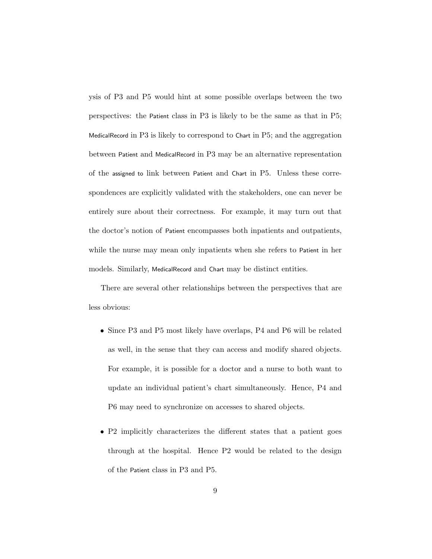ysis of P3 and P5 would hint at some possible overlaps between the two perspectives: the Patient class in P3 is likely to be the same as that in P5; MedicalRecord in P3 is likely to correspond to Chart in P5; and the aggregation between Patient and MedicalRecord in P3 may be an alternative representation of the assigned to link between Patient and Chart in P5. Unless these correspondences are explicitly validated with the stakeholders, one can never be entirely sure about their correctness. For example, it may turn out that the doctor's notion of Patient encompasses both inpatients and outpatients, while the nurse may mean only inpatients when she refers to Patient in her models. Similarly, MedicalRecord and Chart may be distinct entities.

There are several other relationships between the perspectives that are less obvious:

- Since P3 and P5 most likely have overlaps, P4 and P6 will be related as well, in the sense that they can access and modify shared objects. For example, it is possible for a doctor and a nurse to both want to update an individual patient's chart simultaneously. Hence, P4 and P6 may need to synchronize on accesses to shared objects.
- P2 implicitly characterizes the different states that a patient goes through at the hospital. Hence P2 would be related to the design of the Patient class in P3 and P5.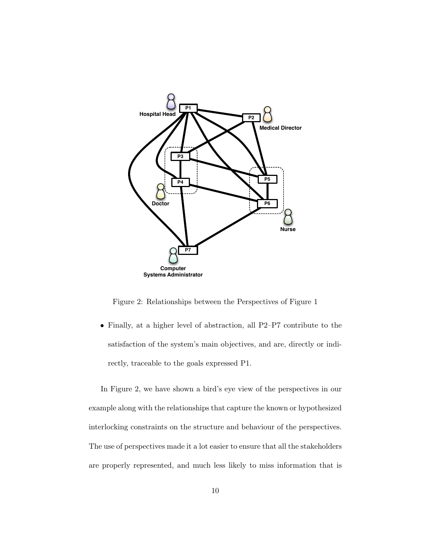

Figure 2: Relationships between the Perspectives of Figure 1

• Finally, at a higher level of abstraction, all P2–P7 contribute to the satisfaction of the system's main objectives, and are, directly or indirectly, traceable to the goals expressed P1.

In Figure 2, we have shown a bird's eye view of the perspectives in our example along with the relationships that capture the known or hypothesized interlocking constraints on the structure and behaviour of the perspectives. The use of perspectives made it a lot easier to ensure that all the stakeholders are properly represented, and much less likely to miss information that is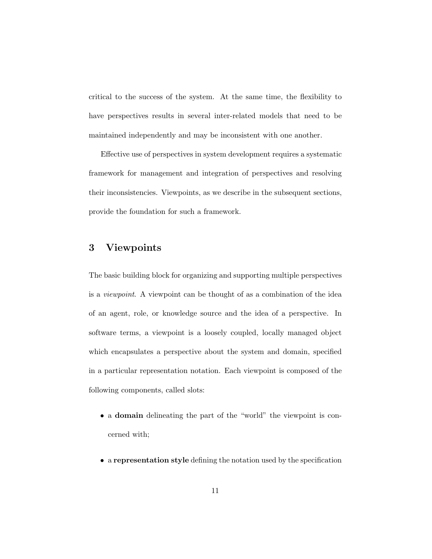critical to the success of the system. At the same time, the flexibility to have perspectives results in several inter-related models that need to be maintained independently and may be inconsistent with one another.

Effective use of perspectives in system development requires a systematic framework for management and integration of perspectives and resolving their inconsistencies. Viewpoints, as we describe in the subsequent sections, provide the foundation for such a framework.

# 3 Viewpoints

The basic building block for organizing and supporting multiple perspectives is a *viewpoint*. A viewpoint can be thought of as a combination of the idea of an agent, role, or knowledge source and the idea of a perspective. In software terms, a viewpoint is a loosely coupled, locally managed object which encapsulates a perspective about the system and domain, specified in a particular representation notation. Each viewpoint is composed of the following components, called slots:

- a domain delineating the part of the "world" the viewpoint is concerned with;
- a representation style defining the notation used by the specification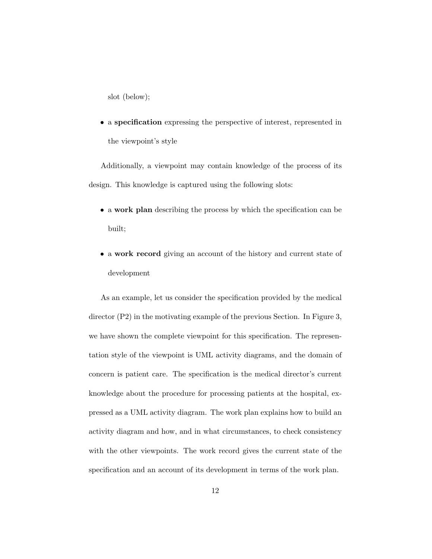slot (below);

• a specification expressing the perspective of interest, represented in the viewpoint's style

Additionally, a viewpoint may contain knowledge of the process of its design. This knowledge is captured using the following slots:

- a work plan describing the process by which the specification can be built;
- a work record giving an account of the history and current state of development

As an example, let us consider the specification provided by the medical director (P2) in the motivating example of the previous Section. In Figure 3, we have shown the complete viewpoint for this specification. The representation style of the viewpoint is UML activity diagrams, and the domain of concern is patient care. The specification is the medical director's current knowledge about the procedure for processing patients at the hospital, expressed as a UML activity diagram. The work plan explains how to build an activity diagram and how, and in what circumstances, to check consistency with the other viewpoints. The work record gives the current state of the specification and an account of its development in terms of the work plan.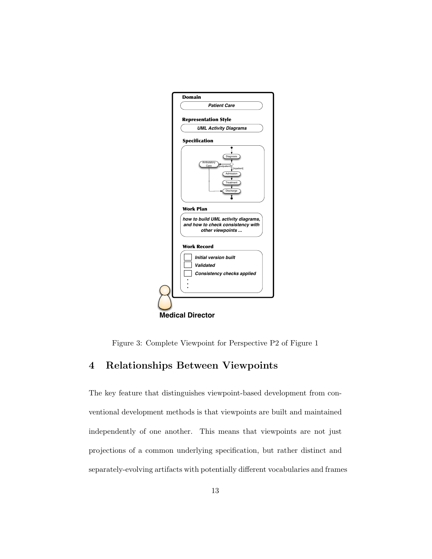

Figure 3: Complete Viewpoint for Perspective P2 of Figure 1

# 4 Relationships Between Viewpoints

The key feature that distinguishes viewpoint-based development from conventional development methods is that viewpoints are built and maintained independently of one another. This means that viewpoints are not just projections of a common underlying specification, but rather distinct and separately-evolving artifacts with potentially different vocabularies and frames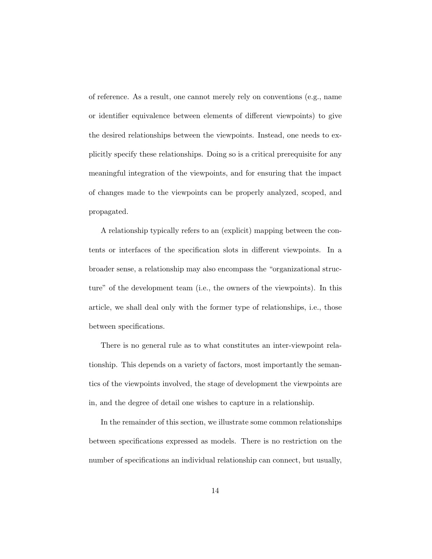of reference. As a result, one cannot merely rely on conventions (e.g., name or identifier equivalence between elements of different viewpoints) to give the desired relationships between the viewpoints. Instead, one needs to explicitly specify these relationships. Doing so is a critical prerequisite for any meaningful integration of the viewpoints, and for ensuring that the impact of changes made to the viewpoints can be properly analyzed, scoped, and propagated.

A relationship typically refers to an (explicit) mapping between the contents or interfaces of the specification slots in different viewpoints. In a broader sense, a relationship may also encompass the "organizational structure" of the development team (i.e., the owners of the viewpoints). In this article, we shall deal only with the former type of relationships, i.e., those between specifications.

There is no general rule as to what constitutes an inter-viewpoint relationship. This depends on a variety of factors, most importantly the semantics of the viewpoints involved, the stage of development the viewpoints are in, and the degree of detail one wishes to capture in a relationship.

In the remainder of this section, we illustrate some common relationships between specifications expressed as models. There is no restriction on the number of specifications an individual relationship can connect, but usually,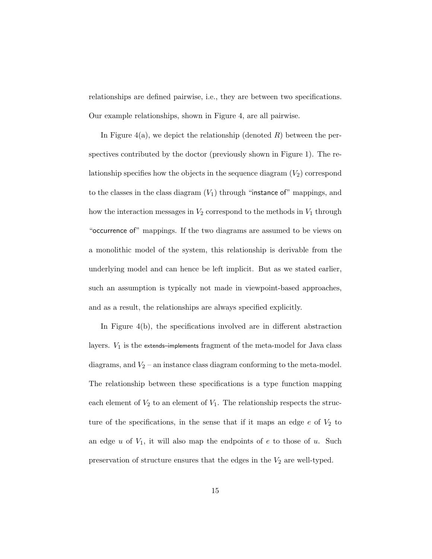relationships are defined pairwise, i.e., they are between two specifications. Our example relationships, shown in Figure 4, are all pairwise.

In Figure 4(a), we depict the relationship (denoted  $R$ ) between the perspectives contributed by the doctor (previously shown in Figure 1). The relationship specifies how the objects in the sequence diagram  $(V_2)$  correspond to the classes in the class diagram  $(V_1)$  through "instance of" mappings, and how the interaction messages in  $V_2$  correspond to the methods in  $V_1$  through "occurrence of" mappings. If the two diagrams are assumed to be views on a monolithic model of the system, this relationship is derivable from the underlying model and can hence be left implicit. But as we stated earlier, such an assumption is typically not made in viewpoint-based approaches, and as a result, the relationships are always specified explicitly.

In Figure 4(b), the specifications involved are in different abstraction layers.  $V_1$  is the extends–implements fragment of the meta-model for Java class diagrams, and  $V_2$  – an instance class diagram conforming to the meta-model. The relationship between these specifications is a type function mapping each element of  $V_2$  to an element of  $V_1$ . The relationship respects the structure of the specifications, in the sense that if it maps an edge  $e$  of  $V_2$  to an edge  $u$  of  $V_1$ , it will also map the endpoints of  $e$  to those of  $u$ . Such preservation of structure ensures that the edges in the  $V_2$  are well-typed.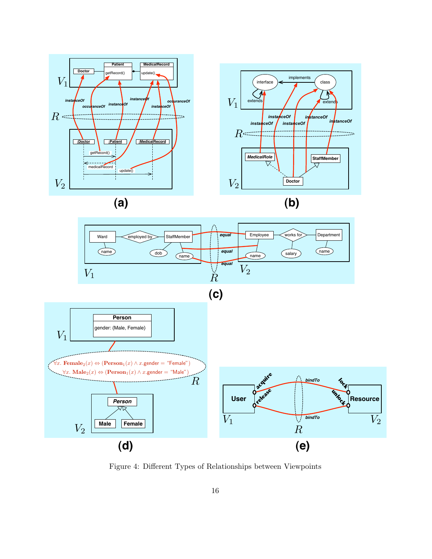



Figure 4: Different Types of Relationships between Viewpoints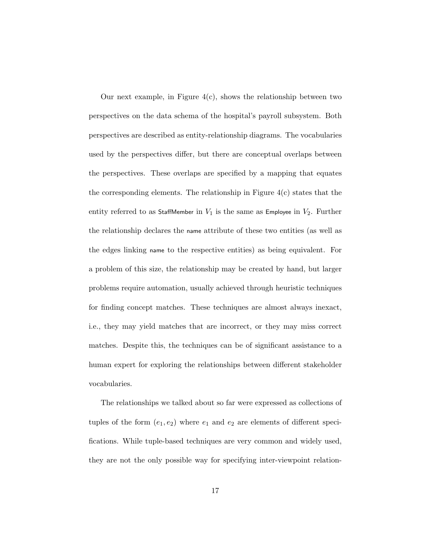Our next example, in Figure  $4(c)$ , shows the relationship between two perspectives on the data schema of the hospital's payroll subsystem. Both perspectives are described as entity-relationship diagrams. The vocabularies used by the perspectives differ, but there are conceptual overlaps between the perspectives. These overlaps are specified by a mapping that equates the corresponding elements. The relationship in Figure  $4(c)$  states that the entity referred to as StaffMember in  $V_1$  is the same as Employee in  $V_2$ . Further the relationship declares the name attribute of these two entities (as well as the edges linking name to the respective entities) as being equivalent. For a problem of this size, the relationship may be created by hand, but larger problems require automation, usually achieved through heuristic techniques for finding concept matches. These techniques are almost always inexact, i.e., they may yield matches that are incorrect, or they may miss correct matches. Despite this, the techniques can be of significant assistance to a human expert for exploring the relationships between different stakeholder vocabularies.

The relationships we talked about so far were expressed as collections of tuples of the form  $(e_1, e_2)$  where  $e_1$  and  $e_2$  are elements of different specifications. While tuple-based techniques are very common and widely used, they are not the only possible way for specifying inter-viewpoint relation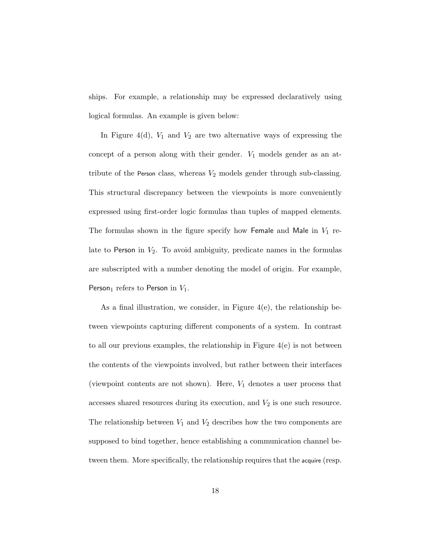ships. For example, a relationship may be expressed declaratively using logical formulas. An example is given below:

In Figure 4(d),  $V_1$  and  $V_2$  are two alternative ways of expressing the concept of a person along with their gender.  $V_1$  models gender as an attribute of the Person class, whereas  $V_2$  models gender through sub-classing. This structural discrepancy between the viewpoints is more conveniently expressed using first-order logic formulas than tuples of mapped elements. The formulas shown in the figure specify how Female and Male in  $V_1$  relate to Person in  $V_2$ . To avoid ambiguity, predicate names in the formulas are subscripted with a number denoting the model of origin. For example, Person<sub>1</sub> refers to Person in  $V_1$ .

As a final illustration, we consider, in Figure  $4(e)$ , the relationship between viewpoints capturing different components of a system. In contrast to all our previous examples, the relationship in Figure 4(e) is not between the contents of the viewpoints involved, but rather between their interfaces (viewpoint contents are not shown). Here,  $V_1$  denotes a user process that accesses shared resources during its execution, and  $V_2$  is one such resource. The relationship between  $V_1$  and  $V_2$  describes how the two components are supposed to bind together, hence establishing a communication channel between them. More specifically, the relationship requires that the acquire (resp.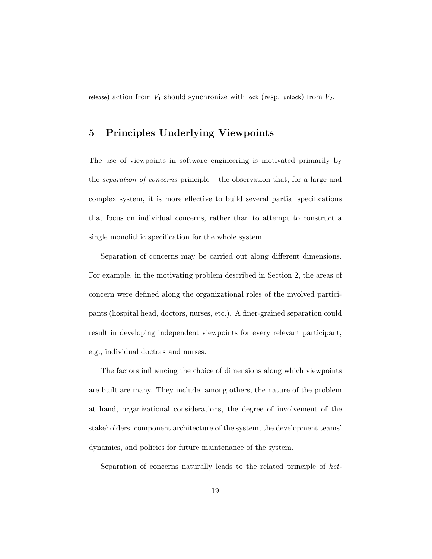release) action from  $V_1$  should synchronize with lock (resp. unlock) from  $V_2$ .

# 5 Principles Underlying Viewpoints

The use of viewpoints in software engineering is motivated primarily by the *separation of concerns* principle – the observation that, for a large and complex system, it is more effective to build several partial specifications that focus on individual concerns, rather than to attempt to construct a single monolithic specification for the whole system.

Separation of concerns may be carried out along different dimensions. For example, in the motivating problem described in Section 2, the areas of concern were defined along the organizational roles of the involved participants (hospital head, doctors, nurses, etc.). A finer-grained separation could result in developing independent viewpoints for every relevant participant, e.g., individual doctors and nurses.

The factors influencing the choice of dimensions along which viewpoints are built are many. They include, among others, the nature of the problem at hand, organizational considerations, the degree of involvement of the stakeholders, component architecture of the system, the development teams' dynamics, and policies for future maintenance of the system.

Separation of concerns naturally leads to the related principle of *het-*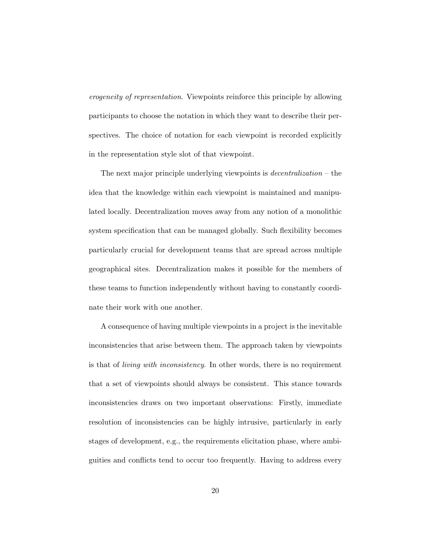*erogeneity of representation*. Viewpoints reinforce this principle by allowing participants to choose the notation in which they want to describe their perspectives. The choice of notation for each viewpoint is recorded explicitly in the representation style slot of that viewpoint.

The next major principle underlying viewpoints is *decentralization* – the idea that the knowledge within each viewpoint is maintained and manipulated locally. Decentralization moves away from any notion of a monolithic system specification that can be managed globally. Such flexibility becomes particularly crucial for development teams that are spread across multiple geographical sites. Decentralization makes it possible for the members of these teams to function independently without having to constantly coordinate their work with one another.

A consequence of having multiple viewpoints in a project is the inevitable inconsistencies that arise between them. The approach taken by viewpoints is that of *living with inconsistency*. In other words, there is no requirement that a set of viewpoints should always be consistent. This stance towards inconsistencies draws on two important observations: Firstly, immediate resolution of inconsistencies can be highly intrusive, particularly in early stages of development, e.g., the requirements elicitation phase, where ambiguities and conflicts tend to occur too frequently. Having to address every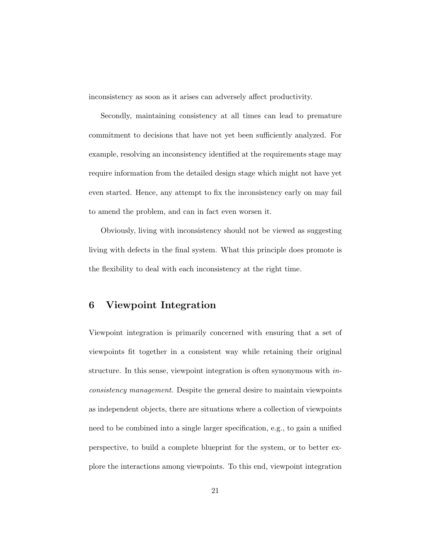inconsistency as soon as it arises can adversely affect productivity.

Secondly, maintaining consistency at all times can lead to premature commitment to decisions that have not yet been sufficiently analyzed. For example, resolving an inconsistency identified at the requirements stage may require information from the detailed design stage which might not have yet even started. Hence, any attempt to fix the inconsistency early on may fail to amend the problem, and can in fact even worsen it.

Obviously, living with inconsistency should not be viewed as suggesting living with defects in the final system. What this principle does promote is the flexibility to deal with each inconsistency at the right time.

## 6 Viewpoint Integration

Viewpoint integration is primarily concerned with ensuring that a set of viewpoints fit together in a consistent way while retaining their original structure. In this sense, viewpoint integration is often synonymous with *inconsistency management*. Despite the general desire to maintain viewpoints as independent objects, there are situations where a collection of viewpoints need to be combined into a single larger specification, e.g., to gain a unified perspective, to build a complete blueprint for the system, or to better explore the interactions among viewpoints. To this end, viewpoint integration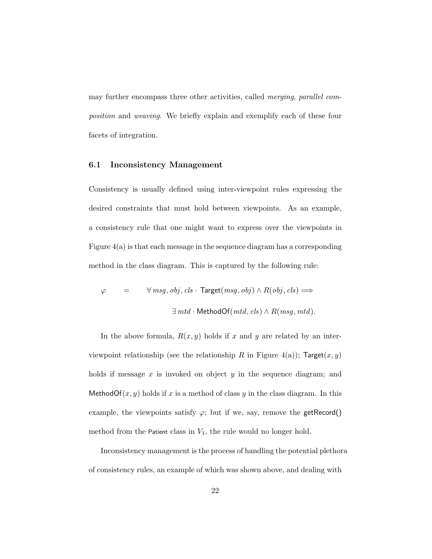may further encompass three other activities, called *merging*, *parallel composition* and *weaving*. We briefly explain and exemplify each of these four facets of integration.

#### 6.1 Inconsistency Management

Consistency is usually defined using inter-viewpoint rules expressing the desired constraints that must hold between viewpoints. As an example, a consistency rule that one might want to express over the viewpoints in Figure  $4(a)$  is that each message in the sequence diagram has a corresponding method in the class diagram. This is captured by the following rule:

$$
\begin{array}{lcl} \varphi & = & \forall \; msg, \; obj, \; cls \cdot \; \textsf{Target}(\mathit{msg}, \mathit{obj}) \land R(\mathit{obj}, \mathit{cls}) \Longrightarrow \\ \\ & & \exists \; mtd \cdot \textsf{MethodOf}(\mathit{mtd}, \mathit{cls}) \land R(\mathit{msg}, \mathit{mtd}). \end{array}
$$

In the above formula,  $R(x, y)$  holds if x and y are related by an interviewpoint relationship (see the relationship R in Figure 4(a));  $Target(x, y)$ holds if message x is invoked on object y in the sequence diagram; and MethodOf $(x, y)$  holds if x is a method of class y in the class diagram. In this example, the viewpoints satisfy  $\varphi$ ; but if we, say, remove the getRecord() method from the Patient class in  $V_1$ , the rule would no longer hold.

Inconsistency management is the process of handling the potential plethora of consistency rules, an example of which was shown above, and dealing with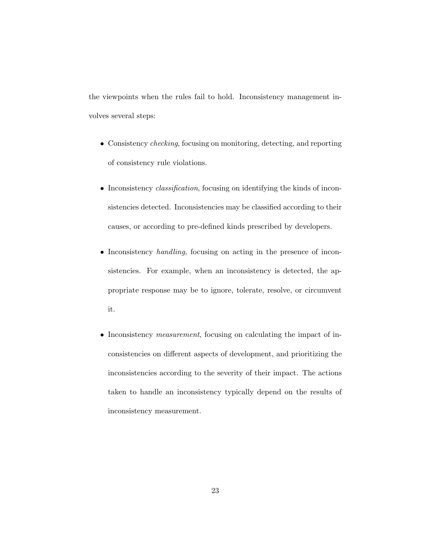the viewpoints when the rules fail to hold. Inconsistency management involves several steps:

- Consistency *checking*, focusing on monitoring, detecting, and reporting of consistency rule violations.
- Inconsistency *classification*, focusing on identifying the kinds of inconsistencies detected. Inconsistencies may be classified according to their causes, or according to pre-defined kinds prescribed by developers.
- Inconsistency *handling*, focusing on acting in the presence of inconsistencies. For example, when an inconsistency is detected, the appropriate response may be to ignore, tolerate, resolve, or circumvent it.
- Inconsistency *measurement*, focusing on calculating the impact of inconsistencies on different aspects of development, and prioritizing the inconsistencies according to the severity of their impact. The actions taken to handle an inconsistency typically depend on the results of inconsistency measurement.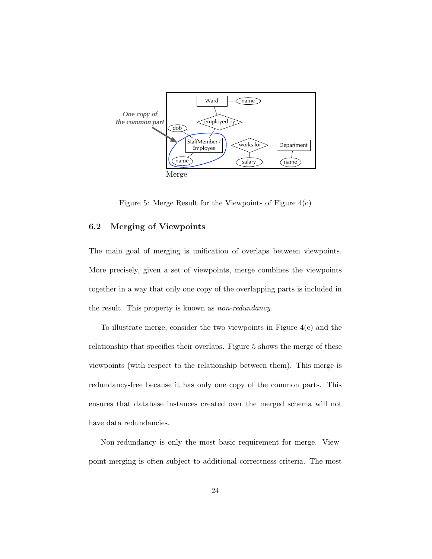

Figure 5: Merge Result for the Viewpoints of Figure  $4(c)$ 

## 6.2 Merging of Viewpoints

The main goal of merging is unification of overlaps between viewpoints. More precisely, given a set of viewpoints, merge combines the viewpoints together in a way that only one copy of the overlapping parts is included in the result. This property is known as *non-redundancy*.

To illustrate merge, consider the two viewpoints in Figure  $4(c)$  and the relationship that specifies their overlaps. Figure 5 shows the merge of these viewpoints (with respect to the relationship between them). This merge is redundancy-free because it has only one copy of the common parts. This ensures that database instances created over the merged schema will not have data redundancies.

Non-redundancy is only the most basic requirement for merge. Viewpoint merging is often subject to additional correctness criteria. The most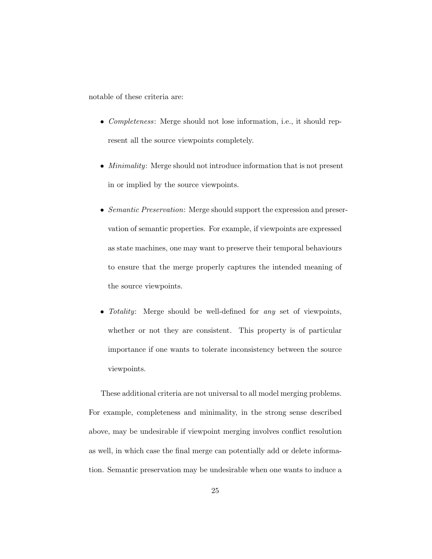notable of these criteria are:

- *Completeness*: Merge should not lose information, i.e., it should represent all the source viewpoints completely.
- *Minimality*: Merge should not introduce information that is not present in or implied by the source viewpoints.
- *Semantic Preservation*: Merge should support the expression and preservation of semantic properties. For example, if viewpoints are expressed as state machines, one may want to preserve their temporal behaviours to ensure that the merge properly captures the intended meaning of the source viewpoints.
- *Totality*: Merge should be well-defined for *any* set of viewpoints, whether or not they are consistent. This property is of particular importance if one wants to tolerate inconsistency between the source viewpoints.

These additional criteria are not universal to all model merging problems. For example, completeness and minimality, in the strong sense described above, may be undesirable if viewpoint merging involves conflict resolution as well, in which case the final merge can potentially add or delete information. Semantic preservation may be undesirable when one wants to induce a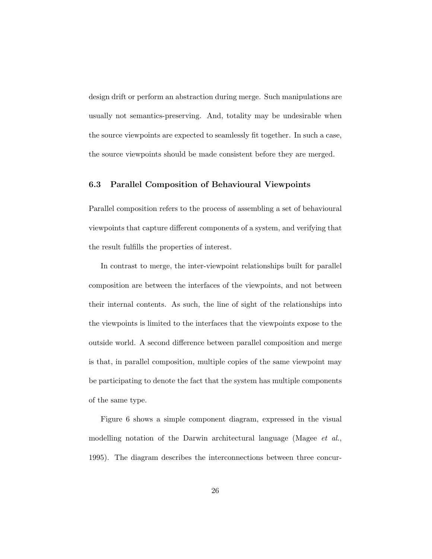design drift or perform an abstraction during merge. Such manipulations are usually not semantics-preserving. And, totality may be undesirable when the source viewpoints are expected to seamlessly fit together. In such a case, the source viewpoints should be made consistent before they are merged.

### 6.3 Parallel Composition of Behavioural Viewpoints

Parallel composition refers to the process of assembling a set of behavioural viewpoints that capture different components of a system, and verifying that the result fulfills the properties of interest.

In contrast to merge, the inter-viewpoint relationships built for parallel composition are between the interfaces of the viewpoints, and not between their internal contents. As such, the line of sight of the relationships into the viewpoints is limited to the interfaces that the viewpoints expose to the outside world. A second difference between parallel composition and merge is that, in parallel composition, multiple copies of the same viewpoint may be participating to denote the fact that the system has multiple components of the same type.

Figure 6 shows a simple component diagram, expressed in the visual modelling notation of the Darwin architectural language (Magee *et al.*, 1995). The diagram describes the interconnections between three concur-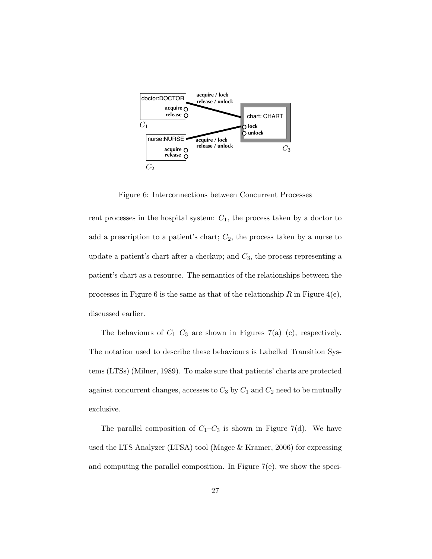

Figure 6: Interconnections between Concurrent Processes

rent processes in the hospital system:  $C_1$ , the process taken by a doctor to add a prescription to a patient's chart;  $C_2$ , the process taken by a nurse to update a patient's chart after a checkup; and  $C_3$ , the process representing a patient's chart as a resource. The semantics of the relationships between the processes in Figure 6 is the same as that of the relationship R in Figure  $4(e)$ , discussed earlier.

The behaviours of  $C_1-C_3$  are shown in Figures 7(a)–(c), respectively. The notation used to describe these behaviours is Labelled Transition Systems (LTSs) (Milner, 1989). To make sure that patients' charts are protected against concurrent changes, accesses to  $C_3$  by  $C_1$  and  $C_2$  need to be mutually exclusive.

The parallel composition of  $C_1-C_3$  is shown in Figure 7(d). We have used the LTS Analyzer (LTSA) tool (Magee & Kramer, 2006) for expressing and computing the parallel composition. In Figure 7(e), we show the speci-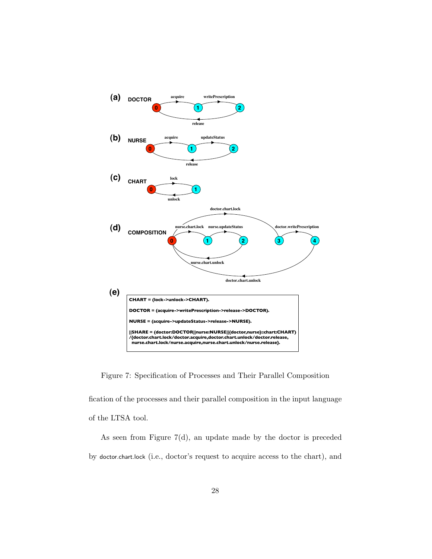

Figure 7: Specification of Processes and Their Parallel Composition

fication of the processes and their parallel composition in the input language of the LTSA tool.

As seen from Figure 7(d), an update made by the doctor is preceded by doctor.chart.lock (i.e., doctor's request to acquire access to the chart), and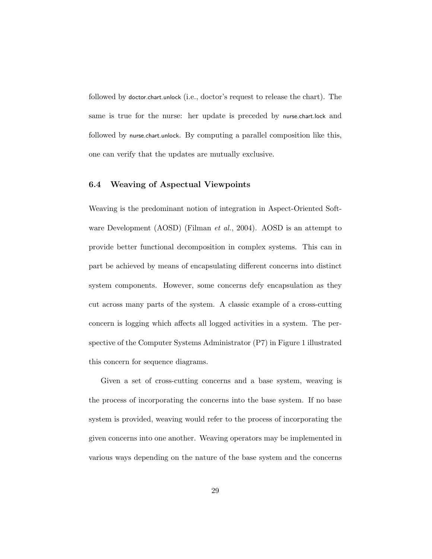followed by doctor.chart.unlock (i.e., doctor's request to release the chart). The same is true for the nurse: her update is preceded by nurse.chart.lock and followed by nurse.chart.unlock. By computing a parallel composition like this, one can verify that the updates are mutually exclusive.

### 6.4 Weaving of Aspectual Viewpoints

Weaving is the predominant notion of integration in Aspect-Oriented Software Development (AOSD) (Filman *et al.*, 2004). AOSD is an attempt to provide better functional decomposition in complex systems. This can in part be achieved by means of encapsulating different concerns into distinct system components. However, some concerns defy encapsulation as they cut across many parts of the system. A classic example of a cross-cutting concern is logging which affects all logged activities in a system. The perspective of the Computer Systems Administrator (P7) in Figure 1 illustrated this concern for sequence diagrams.

Given a set of cross-cutting concerns and a base system, weaving is the process of incorporating the concerns into the base system. If no base system is provided, weaving would refer to the process of incorporating the given concerns into one another. Weaving operators may be implemented in various ways depending on the nature of the base system and the concerns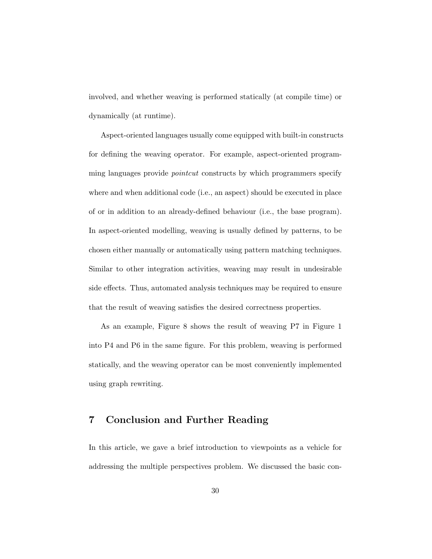involved, and whether weaving is performed statically (at compile time) or dynamically (at runtime).

Aspect-oriented languages usually come equipped with built-in constructs for defining the weaving operator. For example, aspect-oriented programming languages provide *pointcut* constructs by which programmers specify where and when additional code (i.e., an aspect) should be executed in place of or in addition to an already-defined behaviour (i.e., the base program). In aspect-oriented modelling, weaving is usually defined by patterns, to be chosen either manually or automatically using pattern matching techniques. Similar to other integration activities, weaving may result in undesirable side effects. Thus, automated analysis techniques may be required to ensure that the result of weaving satisfies the desired correctness properties.

As an example, Figure 8 shows the result of weaving P7 in Figure 1 into P4 and P6 in the same figure. For this problem, weaving is performed statically, and the weaving operator can be most conveniently implemented using graph rewriting.

# 7 Conclusion and Further Reading

In this article, we gave a brief introduction to viewpoints as a vehicle for addressing the multiple perspectives problem. We discussed the basic con-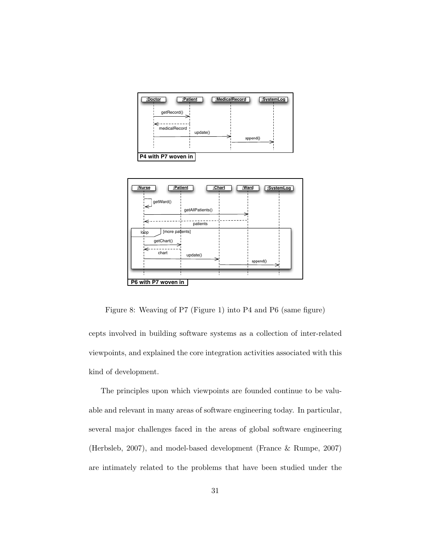

| :Nurse<br>:Patient        | :Chart           | :Ward |          | :SystemLog |
|---------------------------|------------------|-------|----------|------------|
| getWard()<br>$\Leftarrow$ | getAllPatients() |       |          |            |
|                           | patients         |       |          |            |
| [more patients]<br>loop   |                  |       |          |            |
| getChart()                |                  |       |          |            |
| chart                     | update()         |       |          |            |
|                           |                  |       | append() |            |
|                           |                  |       |          |            |
| P6 with P7 woven in       |                  |       |          |            |

Figure 8: Weaving of P7 (Figure 1) into P4 and P6 (same figure)

cepts involved in building software systems as a collection of inter-related viewpoints, and explained the core integration activities associated with this kind of development.

The principles upon which viewpoints are founded continue to be valuable and relevant in many areas of software engineering today. In particular, several major challenges faced in the areas of global software engineering (Herbsleb, 2007), and model-based development (France & Rumpe, 2007) are intimately related to the problems that have been studied under the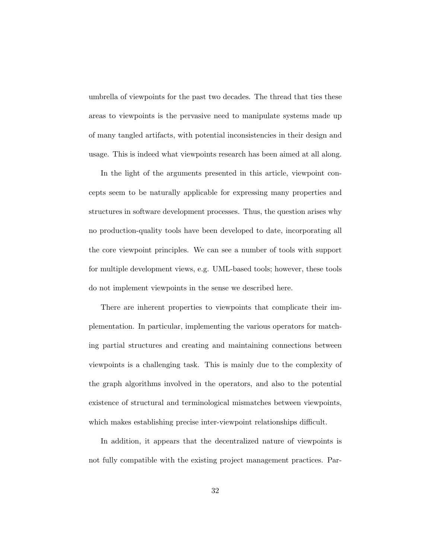umbrella of viewpoints for the past two decades. The thread that ties these areas to viewpoints is the pervasive need to manipulate systems made up of many tangled artifacts, with potential inconsistencies in their design and usage. This is indeed what viewpoints research has been aimed at all along.

In the light of the arguments presented in this article, viewpoint concepts seem to be naturally applicable for expressing many properties and structures in software development processes. Thus, the question arises why no production-quality tools have been developed to date, incorporating all the core viewpoint principles. We can see a number of tools with support for multiple development views, e.g. UML-based tools; however, these tools do not implement viewpoints in the sense we described here.

There are inherent properties to viewpoints that complicate their implementation. In particular, implementing the various operators for matching partial structures and creating and maintaining connections between viewpoints is a challenging task. This is mainly due to the complexity of the graph algorithms involved in the operators, and also to the potential existence of structural and terminological mismatches between viewpoints, which makes establishing precise inter-viewpoint relationships difficult.

In addition, it appears that the decentralized nature of viewpoints is not fully compatible with the existing project management practices. Par-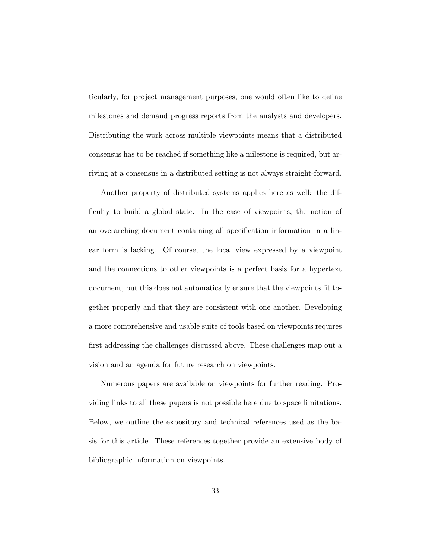ticularly, for project management purposes, one would often like to define milestones and demand progress reports from the analysts and developers. Distributing the work across multiple viewpoints means that a distributed consensus has to be reached if something like a milestone is required, but arriving at a consensus in a distributed setting is not always straight-forward.

Another property of distributed systems applies here as well: the difficulty to build a global state. In the case of viewpoints, the notion of an overarching document containing all specification information in a linear form is lacking. Of course, the local view expressed by a viewpoint and the connections to other viewpoints is a perfect basis for a hypertext document, but this does not automatically ensure that the viewpoints fit together properly and that they are consistent with one another. Developing a more comprehensive and usable suite of tools based on viewpoints requires first addressing the challenges discussed above. These challenges map out a vision and an agenda for future research on viewpoints.

Numerous papers are available on viewpoints for further reading. Providing links to all these papers is not possible here due to space limitations. Below, we outline the expository and technical references used as the basis for this article. These references together provide an extensive body of bibliographic information on viewpoints.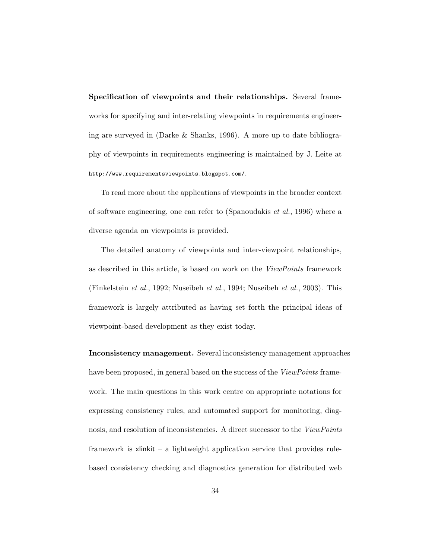Specification of viewpoints and their relationships. Several frameworks for specifying and inter-relating viewpoints in requirements engineering are surveyed in (Darke & Shanks, 1996). A more up to date bibliography of viewpoints in requirements engineering is maintained by J. Leite at http://www.requirementsviewpoints.blogspot.com/.

To read more about the applications of viewpoints in the broader context of software engineering, one can refer to (Spanoudakis *et al.*, 1996) where a diverse agenda on viewpoints is provided.

The detailed anatomy of viewpoints and inter-viewpoint relationships, as described in this article, is based on work on the *ViewPoints* framework (Finkelstein *et al.*, 1992; Nuseibeh *et al.*, 1994; Nuseibeh *et al.*, 2003). This framework is largely attributed as having set forth the principal ideas of viewpoint-based development as they exist today.

Inconsistency management. Several inconsistency management approaches have been proposed, in general based on the success of the *ViewPoints* framework. The main questions in this work centre on appropriate notations for expressing consistency rules, and automated support for monitoring, diagnosis, and resolution of inconsistencies. A direct successor to the *ViewPoints* framework is xlinkit – a lightweight application service that provides rulebased consistency checking and diagnostics generation for distributed web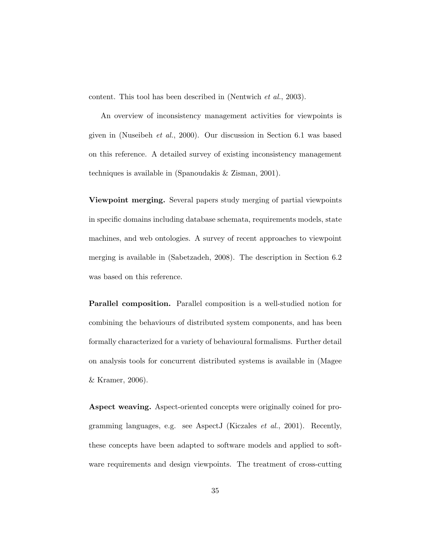content. This tool has been described in (Nentwich *et al.*, 2003).

An overview of inconsistency management activities for viewpoints is given in (Nuseibeh *et al.*, 2000). Our discussion in Section 6.1 was based on this reference. A detailed survey of existing inconsistency management techniques is available in (Spanoudakis & Zisman, 2001).

Viewpoint merging. Several papers study merging of partial viewpoints in specific domains including database schemata, requirements models, state machines, and web ontologies. A survey of recent approaches to viewpoint merging is available in (Sabetzadeh, 2008). The description in Section 6.2 was based on this reference.

Parallel composition. Parallel composition is a well-studied notion for combining the behaviours of distributed system components, and has been formally characterized for a variety of behavioural formalisms. Further detail on analysis tools for concurrent distributed systems is available in (Magee & Kramer, 2006).

Aspect weaving. Aspect-oriented concepts were originally coined for programming languages, e.g. see AspectJ (Kiczales *et al.*, 2001). Recently, these concepts have been adapted to software models and applied to software requirements and design viewpoints. The treatment of cross-cutting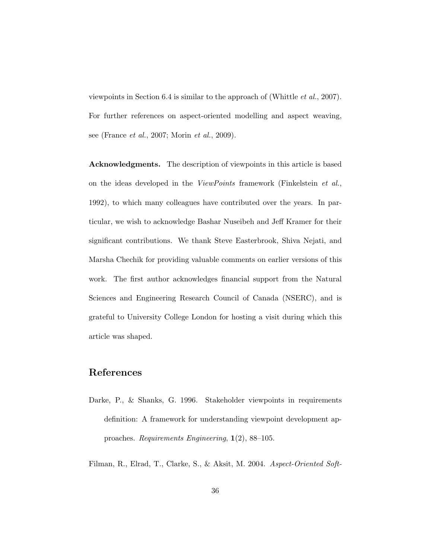viewpoints in Section 6.4 is similar to the approach of (Whittle *et al.*, 2007). For further references on aspect-oriented modelling and aspect weaving, see (France *et al.*, 2007; Morin *et al.*, 2009).

Acknowledgments. The description of viewpoints in this article is based on the ideas developed in the *ViewPoints* framework (Finkelstein *et al.*, 1992), to which many colleagues have contributed over the years. In particular, we wish to acknowledge Bashar Nuseibeh and Jeff Kramer for their significant contributions. We thank Steve Easterbrook, Shiva Nejati, and Marsha Chechik for providing valuable comments on earlier versions of this work. The first author acknowledges financial support from the Natural Sciences and Engineering Research Council of Canada (NSERC), and is grateful to University College London for hosting a visit during which this article was shaped.

# References

- Darke, P., & Shanks, G. 1996. Stakeholder viewpoints in requirements definition: A framework for understanding viewpoint development approaches. *Requirements Engineering*, 1(2), 88–105.
- Filman, R., Elrad, T., Clarke, S., & Aksit, M. 2004. *Aspect-Oriented Soft-*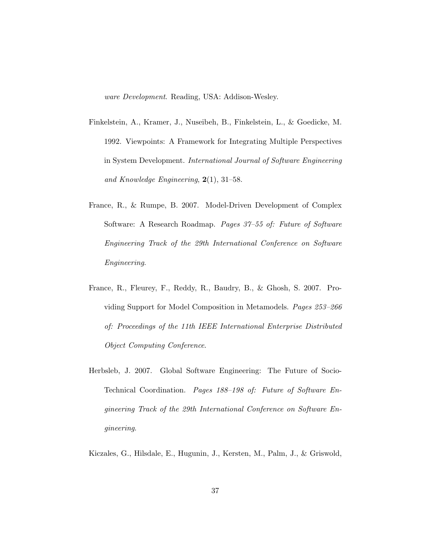*ware Development*. Reading, USA: Addison-Wesley.

- Finkelstein, A., Kramer, J., Nuseibeh, B., Finkelstein, L., & Goedicke, M. 1992. Viewpoints: A Framework for Integrating Multiple Perspectives in System Development. *International Journal of Software Engineering and Knowledge Engineering*, 2(1), 31–58.
- France, R., & Rumpe, B. 2007. Model-Driven Development of Complex Software: A Research Roadmap. *Pages 37–55 of: Future of Software Engineering Track of the 29th International Conference on Software Engineering*.
- France, R., Fleurey, F., Reddy, R., Baudry, B., & Ghosh, S. 2007. Providing Support for Model Composition in Metamodels. *Pages 253–266 of: Proceedings of the 11th IEEE International Enterprise Distributed Object Computing Conference*.
- Herbsleb, J. 2007. Global Software Engineering: The Future of Socio-Technical Coordination. *Pages 188–198 of: Future of Software Engineering Track of the 29th International Conference on Software Engineering*.
- Kiczales, G., Hilsdale, E., Hugunin, J., Kersten, M., Palm, J., & Griswold,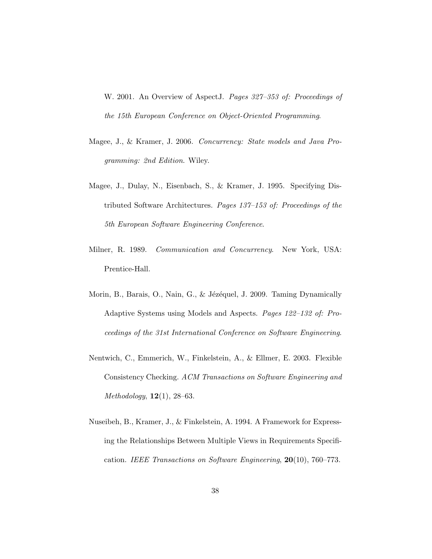W. 2001. An Overview of AspectJ. *Pages 327–353 of: Proceedings of the 15th European Conference on Object-Oriented Programming*.

- Magee, J., & Kramer, J. 2006. *Concurrency: State models and Java Programming: 2nd Edition*. Wiley.
- Magee, J., Dulay, N., Eisenbach, S., & Kramer, J. 1995. Specifying Distributed Software Architectures. *Pages 137–153 of: Proceedings of the 5th European Software Engineering Conference*.
- Milner, R. 1989. *Communication and Concurrency*. New York, USA: Prentice-Hall.
- Morin, B., Barais, O., Nain, G., & Jézéquel, J. 2009. Taming Dynamically Adaptive Systems using Models and Aspects. *Pages 122–132 of: Proceedings of the 31st International Conference on Software Engineering*.
- Nentwich, C., Emmerich, W., Finkelstein, A., & Ellmer, E. 2003. Flexible Consistency Checking. *ACM Transactions on Software Engineering and Methodology*, 12(1), 28–63.
- Nuseibeh, B., Kramer, J., & Finkelstein, A. 1994. A Framework for Expressing the Relationships Between Multiple Views in Requirements Specification. *IEEE Transactions on Software Engineering*, 20(10), 760–773.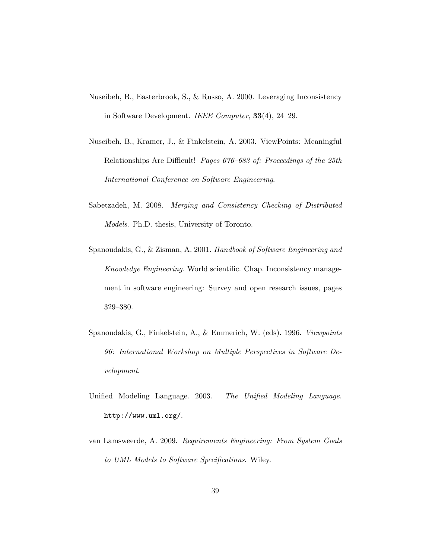- Nuseibeh, B., Easterbrook, S., & Russo, A. 2000. Leveraging Inconsistency in Software Development. *IEEE Computer*, 33(4), 24–29.
- Nuseibeh, B., Kramer, J., & Finkelstein, A. 2003. ViewPoints: Meaningful Relationships Are Difficult! *Pages 676–683 of: Proceedings of the 25th International Conference on Software Engineering*.
- Sabetzadeh, M. 2008. *Merging and Consistency Checking of Distributed Models*. Ph.D. thesis, University of Toronto.
- Spanoudakis, G., & Zisman, A. 2001. *Handbook of Software Engineering and Knowledge Engineering*. World scientific. Chap. Inconsistency management in software engineering: Survey and open research issues, pages 329–380.
- Spanoudakis, G., Finkelstein, A., & Emmerich, W. (eds). 1996. *Viewpoints 96: International Workshop on Multiple Perspectives in Software Development*.
- Unified Modeling Language. 2003. *The Unified Modeling Language*. http://www.uml.org/.
- van Lamsweerde, A. 2009. *Requirements Engineering: From System Goals to UML Models to Software Specifications*. Wiley.